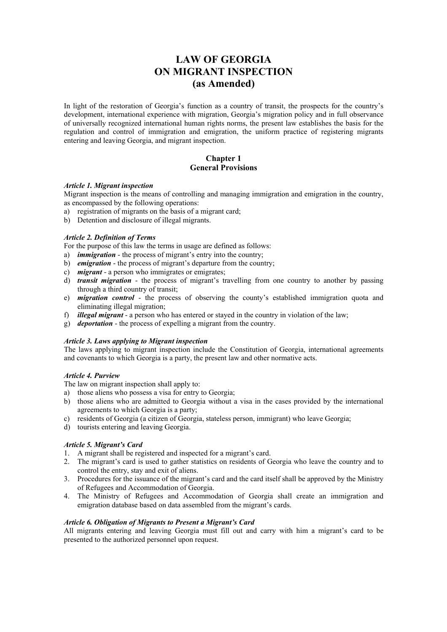# **LAW OF GEORGIA ON MIGRANT INSPECTION (as Amended)**

In light of the restoration of Georgia's function as a country of transit, the prospects for the country's development, international experience with migration, Georgia's migration policy and in full observance of universally recognized international human rights norms, the present law establishes the basis for the regulation and control of immigration and emigration, the uniform practice of registering migrants entering and leaving Georgia, and migrant inspection.

## **Chapter 1 General Provisions**

#### *Article 1. Migrant inspection*

Migrant inspection is the means of controlling and managing immigration and emigration in the country, as encompassed by the following operations:

- a) registration of migrants on the basis of a migrant card;
- b) Detention and disclosure of illegal migrants.

### *Article 2. Definition of Terms*

For the purpose of this law the terms in usage are defined as follows:

- a) *immigration* the process of migrant's entry into the country;
- b) *emigration* the process of migrant's departure from the country;
- c) *migrant* a person who immigrates or emigrates;
- d) *transit migration* the process of migrant's travelling from one country to another by passing through a third country of transit;
- e) *migration control* the process of observing the county's established immigration quota and eliminating illegal migration;
- f) *illegal migrant* a person who has entered or stayed in the country in violation of the law;
- g) *deportation* the process of expelling a migrant from the country.

#### *Article 3. Laws applying to Migrant inspection*

The laws applying to migrant inspection include the Constitution of Georgia, international agreements and covenants to which Georgia is a party, the present law and other normative acts.

## *Article 4. Purview*

The law on migrant inspection shall apply to:

- a) those aliens who possess a visa for entry to Georgia;
- b) those aliens who are admitted to Georgia without a visa in the cases provided by the international agreements to which Georgia is a party;
- c) residents of Georgia (a citizen of Georgia, stateless person, immigrant) who leave Georgia;
- d) tourists entering and leaving Georgia.

## *Article 5. Migrant's Card*

- 1. A migrant shall be registered and inspected for a migrant's card.
- 2. The migrant's card is used to gather statistics on residents of Georgia who leave the country and to control the entry, stay and exit of aliens.
- 3. Procedures for the issuance of the migrant's card and the card itself shall be approved by the Ministry of Refugees and Accommodation of Georgia.
- 4. The Ministry of Refugees and Accommodation of Georgia shall create an immigration and emigration database based on data assembled from the migrant's cards.

#### *Article 6. Obligation of Migrants to Present a Migrant's Card*

All migrants entering and leaving Georgia must fill out and carry with him a migrant's card to be presented to the authorized personnel upon request.